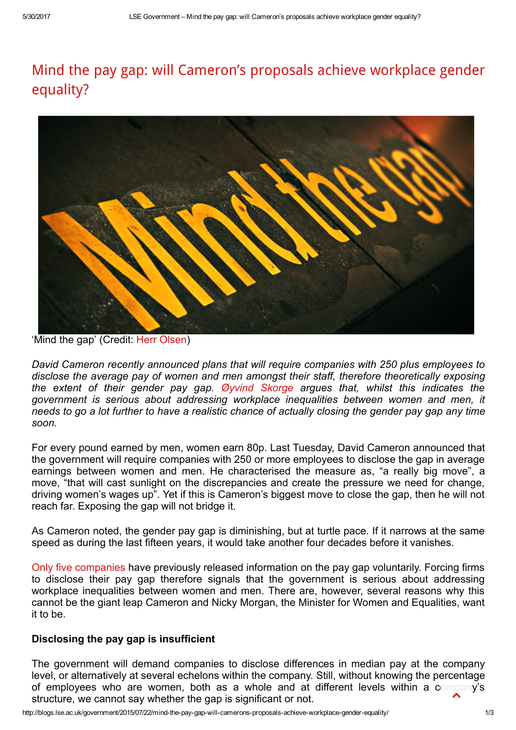# Mind the pay gap: will [Cameron's](http://blogs.lse.ac.uk/government/2015/07/22/mind-the-pay-gap-will-camerons-proposals-achieve-workplace-gender-equality/) proposals achieve workplace gender equality?



'Mind the gap' (Credit: Herr [Olsen](https://www.flickr.com/photos/herrolsen/7645876896/))

David Cameron recently announced plans that will require companies with 250 plus employees to disclose the average pay of women and men amongst their staff, therefore theoretically exposing the extent of their gender pay gap. Øyvind [Skorge](http://www.skorge.info/) argues that, whilst this indicates the government is serious about addressing workplace inequalities between women and men, it needs to go a lot further to have a realistic chance of actually closing the gender pay gap any time soon.

For every pound earned by men, women earn 80p. Last Tuesday, David Cameron announced that the government will require companies with 250 or more employees to disclose the gap in average earnings between women and men. He characterised the measure as, "a really big move", a move, "that will cast sunlight on the discrepancies and create the pressure we need for change, driving women's wages up". Yet if this is Cameron's biggest move to close the gap, then he will not reach far. Exposing the gap will not bridge it.

As Cameron noted, the gender pay gap is diminishing, but at turtle pace. If it narrows at the same speed as during the last fifteen years, it would take another four decades before it vanishes.

Only five [companies](http://www.theguardian.com/society/2015/jul/14/david-cameron-to-force-companies-to-disclose-gender-pay-gaps) have previously released information on the pay gap voluntarily. Forcing firms to disclose their pay gap therefore signals that the government is serious about addressing workplace inequalities between women and men. There are, however, several reasons why this cannot be the giant leap Cameron and Nicky Morgan, the Minister for Women and Equalities, want it to be.

## Disclosing the pay gap is insufficient

The government will demand companies to disclose differences in median pay at the company level, or alternatively at several echelons within the company. Still, without knowing the percentage of employees who are women, both as a whole and at different levels within a company's structure, we cannot say whether the gap is significant or not.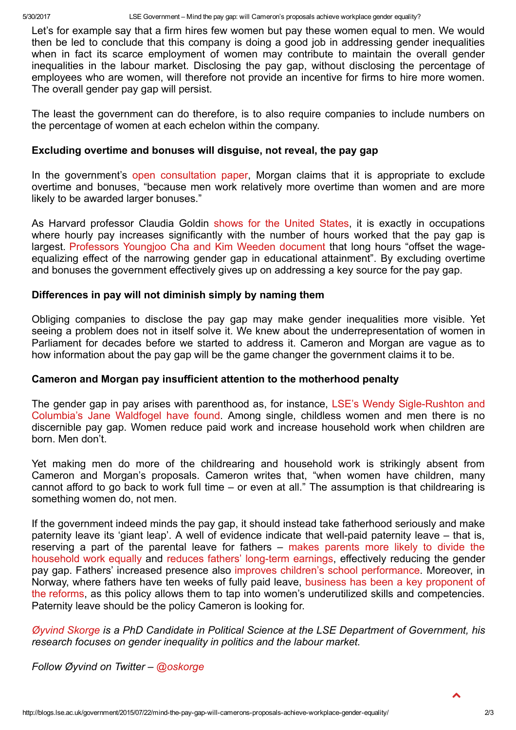Let's for example say that a firm hires few women but pay these women equal to men. We would then be led to conclude that this company is doing a good job in addressing gender inequalities when in fact its scarce employment of women may contribute to maintain the overall gender inequalities in the labour market. Disclosing the pay gap, without disclosing the percentage of employees who are women, will therefore not provide an incentive for firms to hire more women. The overall gender pay gap will persist.

The least the government can do therefore, is to also require companies to include numbers on the percentage of women at each echelon within the company.

### Excluding overtime and bonuses will disguise, not reveal, the pay gap

In the government's open [consultation](https://www.gov.uk/government/consultations/closing-the-gender-pay-gap) paper, Morgan claims that it is appropriate to exclude overtime and bonuses, "because men work relatively more overtime than women and are more likely to be awarded larger bonuses."

As Harvard professor Claudia Goldin shows for the [United](http://scholar.harvard.edu/goldin/publications/grand-gender-convergence-its-last-chapter) States, it is exactly in occupations where hourly pay increases significantly with the number of hours worked that the pay gap is largest. [Professors](http://asr.sagepub.com/content/79/3/457) Youngjoo Cha and Kim Weeden document that long hours "offset the wageequalizing effect of the narrowing gender gap in educational attainment". By excluding overtime and bonuses the government effectively gives up on addressing a key source for the pay gap.

### Differences in pay will not diminish simply by naming them

Obliging companies to disclose the pay gap may make gender inequalities more visible. Yet seeing a problem does not in itself solve it. We knew about the underrepresentation of women in Parliament for decades before we started to address it. Cameron and Morgan are vague as to how information about the pay gap will be the game changer the government claims it to be.

### Cameron and Morgan pay insufficient attention to the motherhood penalty

The gender gap in pay arises with parenthood as, for instance, LSE's Wendy Sigle-Rushton and Columbia's Jane Waldfogel have found. Among single, childless women and men there is no discernible pay gap. Women reduce paid work and increase household work when children are born. Men don't.

Yet making men do more of the childrearing and household work is strikingly absent from Cameron and Morgan's proposals. Cameron writes that, "when women have children, many cannot afford to go back to work full time – or even at all." The assumption is that childrearing is something women do, not men.

If the government indeed minds the pay gap, it should instead take fatherhood seriously and make paternity leave its 'giant leap'. A well of evidence indicate that well-paid paternity leave  $-$  that is, reserving a part of the parental leave for fathers – makes parents more likely to divide the [household](http://www.sciencedirect.com/science/article/pii/S0049089X11001153) work equally and reduces fathers' long-term earnings, effectively reducing the gender pay gap. Fathers' increased presence also improves children's school [performance](http://onlinelibrary.wiley.com/doi/10.1111/sjoe.12113/abstract). Moreover, in Norway, where fathers have ten weeks of fully paid leave, business has been a key proponent of the reforms, as this policy allows them to tap into women's underutilized skills and [competencies.](http://www.skorge.info/researchdetails/2014/3/23/turn-turn-turn-employers-unions-parties-and-work-family-policies-in-advanced-democracies-1970-2002) Paternity leave should be the policy Cameron is looking for.

Øyvind [Skorge](http://www.skorge.info/) is a PhD Candidate in Political Science at the LSE Department of Government, his research focuses on gender inequality in politics and the labour market.

Follow Øyvind on Twitter – [@oskorge](https://twitter.com/OSkorge)

 $\blacktriangle$